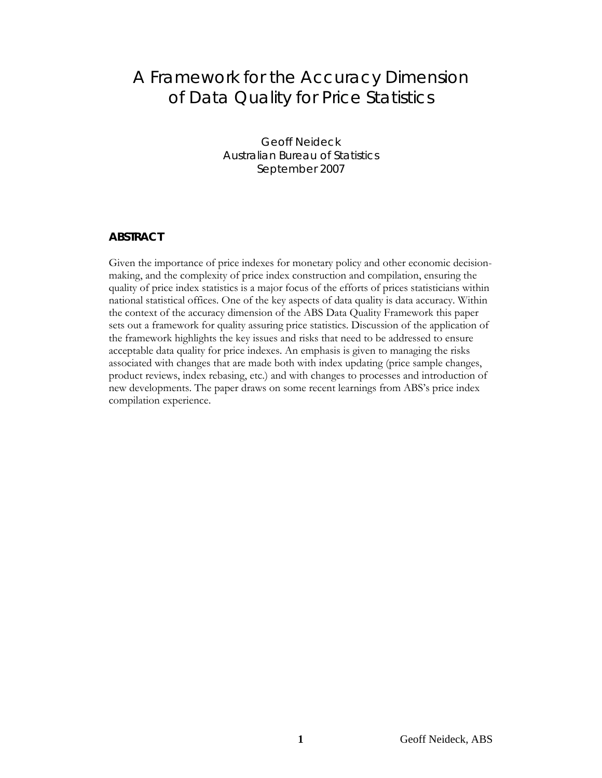# A Framework for the Accuracy Dimension of Data Quality for Price Statistics

Geoff Neideck Australian Bureau of Statistics September 2007

### **ABSTRACT**

Given the importance of price indexes for monetary policy and other economic decisionmaking, and the complexity of price index construction and compilation, ensuring the quality of price index statistics is a major focus of the efforts of prices statisticians within national statistical offices. One of the key aspects of data quality is data accuracy. Within the context of the accuracy dimension of the ABS Data Quality Framework this paper sets out a framework for quality assuring price statistics. Discussion of the application of the framework highlights the key issues and risks that need to be addressed to ensure acceptable data quality for price indexes. An emphasis is given to managing the risks associated with changes that are made both with index updating (price sample changes, product reviews, index rebasing, etc.) and with changes to processes and introduction of new developments. The paper draws on some recent learnings from ABS's price index compilation experience.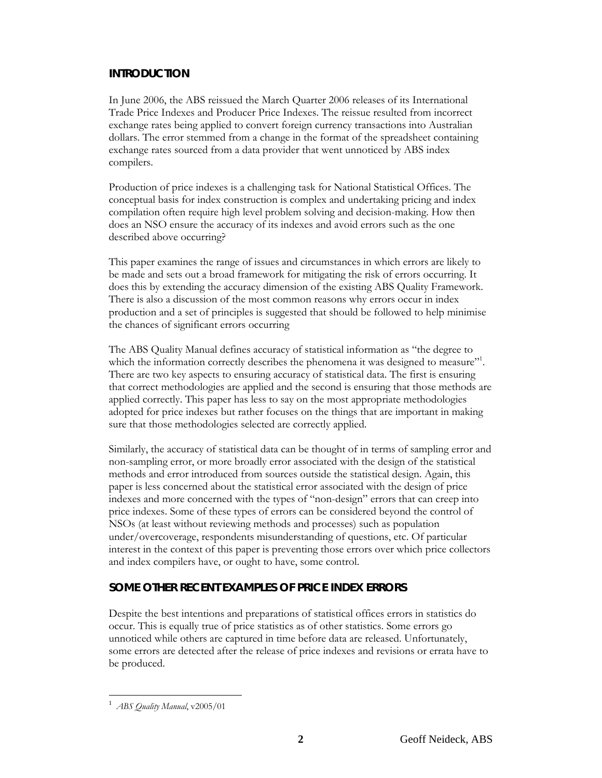## **INTRODUCTION**

In June 2006, the ABS reissued the March Quarter 2006 releases of its International Trade Price Indexes and Producer Price Indexes. The reissue resulted from incorrect exchange rates being applied to convert foreign currency transactions into Australian dollars. The error stemmed from a change in the format of the spreadsheet containing exchange rates sourced from a data provider that went unnoticed by ABS index compilers.

Production of price indexes is a challenging task for National Statistical Offices. The conceptual basis for index construction is complex and undertaking pricing and index compilation often require high level problem solving and decision-making. How then does an NSO ensure the accuracy of its indexes and avoid errors such as the one described above occurring?

This paper examines the range of issues and circumstances in which errors are likely to be made and sets out a broad framework for mitigating the risk of errors occurring. It does this by extending the accuracy dimension of the existing ABS Quality Framework. There is also a discussion of the most common reasons why errors occur in index production and a set of principles is suggested that should be followed to help minimise the chances of significant errors occurring

The ABS Quality Manual defines accuracy of statistical information as "the degree to which the information correctly describes the phenomena it was designed to measure"<sup>1</sup>. There are two key aspects to ensuring accuracy of statistical data. The first is ensuring that correct methodologies are applied and the second is ensuring that those methods are applied correctly. This paper has less to say on the most appropriate methodologies adopted for price indexes but rather focuses on the things that are important in making sure that those methodologies selected are correctly applied.

Similarly, the accuracy of statistical data can be thought of in terms of sampling error and non-sampling error, or more broadly error associated with the design of the statistical methods and error introduced from sources outside the statistical design. Again, this paper is less concerned about the statistical error associated with the design of price indexes and more concerned with the types of "non-design" errors that can creep into price indexes. Some of these types of errors can be considered beyond the control of NSOs (at least without reviewing methods and processes) such as population under/overcoverage, respondents misunderstanding of questions, etc. Of particular interest in the context of this paper is preventing those errors over which price collectors and index compilers have, or ought to have, some control.

## **SOME OTHER RECENT EXAMPLES OF PRICE INDEX ERRORS**

Despite the best intentions and preparations of statistical offices errors in statistics do occur. This is equally true of price statistics as of other statistics. Some errors go unnoticed while others are captured in time before data are released. Unfortunately, some errors are detected after the release of price indexes and revisions or errata have to be produced.

l

<sup>1</sup> *ABS Quality Manual*, v2005/01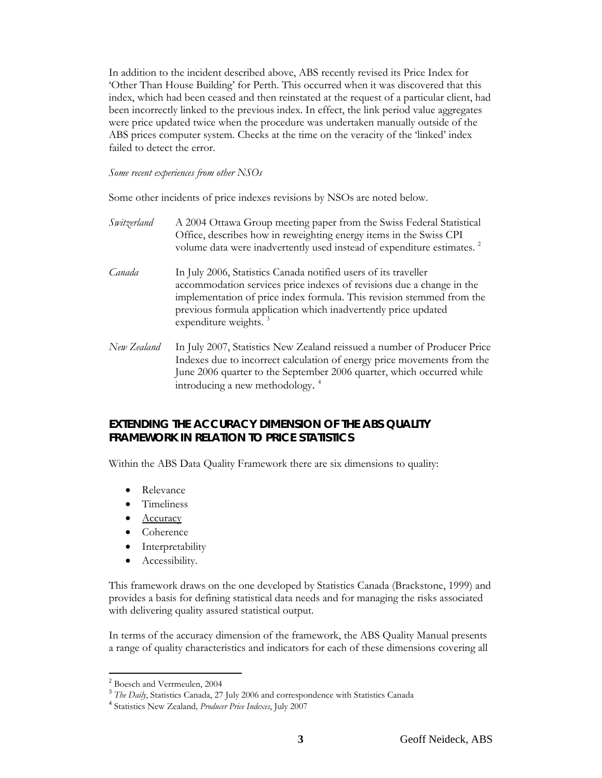In addition to the incident described above, ABS recently revised its Price Index for 'Other Than House Building' for Perth. This occurred when it was discovered that this index, which had been ceased and then reinstated at the request of a particular client, had been incorrectly linked to the previous index. In effect, the link period value aggregates were price updated twice when the procedure was undertaken manually outside of the ABS prices computer system. Checks at the time on the veracity of the 'linked' index failed to detect the error.

#### *Some recent experiences from other NSOs*

Some other incidents of price indexes revisions by NSOs are noted below.

| Switzerland | A 2004 Ottawa Group meeting paper from the Swiss Federal Statistical<br>Office, describes how in reweighting energy items in the Swiss CPI<br>volume data were inadvertently used instead of expenditure estimates. <sup>2</sup>                                                                                         |
|-------------|--------------------------------------------------------------------------------------------------------------------------------------------------------------------------------------------------------------------------------------------------------------------------------------------------------------------------|
| Canada      | In July 2006, Statistics Canada notified users of its traveller<br>accommodation services price indexes of revisions due a change in the<br>implementation of price index formula. This revision stemmed from the<br>previous formula application which inadvertently price updated<br>expenditure weights. <sup>3</sup> |
| New Zealand | In July 2007, Statistics New Zealand reissued a number of Producer Price<br>Indexes due to incorrect calculation of energy price movements from the<br>June 2006 quarter to the September 2006 quarter, which occurred while<br>introducing a new methodology. <sup>4</sup>                                              |

## **EXTENDING THE ACCURACY DIMENSION OF THE ABS QUALITY FRAMEWORK IN RELATION TO PRICE STATISTICS**

Within the ABS Data Quality Framework there are six dimensions to quality:

- Relevance
- Timeliness
- Accuracy
- Coherence
- Interpretability
- Accessibility.

This framework draws on the one developed by Statistics Canada (Brackstone, 1999) and provides a basis for defining statistical data needs and for managing the risks associated with delivering quality assured statistical output.

In terms of the accuracy dimension of the framework, the ABS Quality Manual presents a range of quality characteristics and indicators for each of these dimensions covering all

l

<sup>2</sup> Boesch and Verrmeulen, 2004

<sup>&</sup>lt;sup>3</sup> *The Daily*, Statistics Canada, 27 July 2006 and correspondence with Statistics Canada <sup>4</sup> Statistics New Zealand, *Producer Price Indexes*, July 2007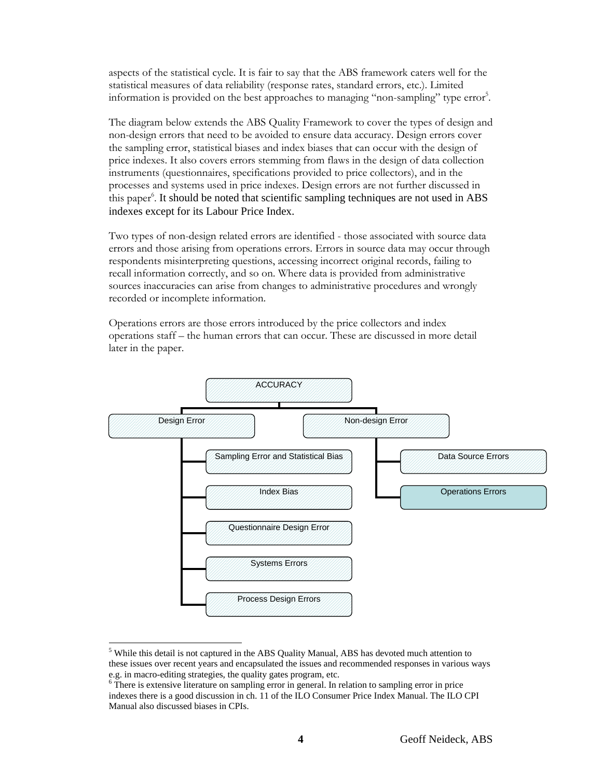aspects of the statistical cycle. It is fair to say that the ABS framework caters well for the statistical measures of data reliability (response rates, standard errors, etc.). Limited information is provided on the best approaches to managing "non-sampling" type error<sup>5</sup>.

The diagram below extends the ABS Quality Framework to cover the types of design and non-design errors that need to be avoided to ensure data accuracy. Design errors cover the sampling error, statistical biases and index biases that can occur with the design of price indexes. It also covers errors stemming from flaws in the design of data collection instruments (questionnaires, specifications provided to price collectors), and in the processes and systems used in price indexes. Design errors are not further discussed in this paper<sup>6</sup>. It should be noted that scientific sampling techniques are not used in ABS indexes except for its Labour Price Index.

Two types of non-design related errors are identified - those associated with source data errors and those arising from operations errors. Errors in source data may occur through respondents misinterpreting questions, accessing incorrect original records, failing to recall information correctly, and so on. Where data is provided from administrative sources inaccuracies can arise from changes to administrative procedures and wrongly recorded or incomplete information.

Operations errors are those errors introduced by the price collectors and index operations staff – the human errors that can occur. These are discussed in more detail later in the paper.



l <sup>5</sup> While this detail is not captured in the ABS Quality Manual, ABS has devoted much attention to these issues over recent years and encapsulated the issues and recommended responses in various ways e.g. in macro-editing strategies, the quality gates program, etc.

There is extensive literature on sampling error in general. In relation to sampling error in price indexes there is a good discussion in ch. 11 of the ILO Consumer Price Index Manual. The ILO CPI Manual also discussed biases in CPIs.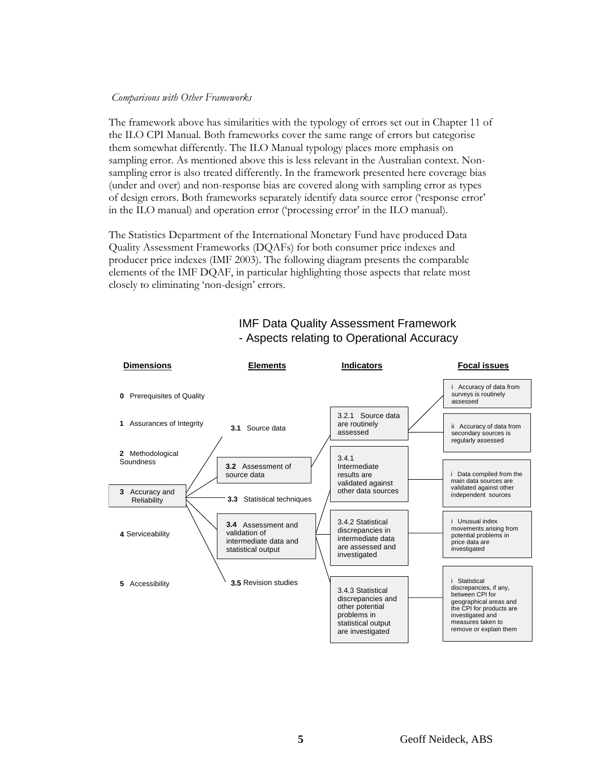#### *Comparisons with Other Frameworks*

The framework above has similarities with the typology of errors set out in Chapter 11 of the ILO CPI Manual. Both frameworks cover the same range of errors but categorise them somewhat differently. The ILO Manual typology places more emphasis on sampling error. As mentioned above this is less relevant in the Australian context. Nonsampling error is also treated differently. In the framework presented here coverage bias (under and over) and non-response bias are covered along with sampling error as types of design errors. Both frameworks separately identify data source error ('response error' in the ILO manual) and operation error ('processing error' in the ILO manual).

The Statistics Department of the International Monetary Fund have produced Data Quality Assessment Frameworks (DQAFs) for both consumer price indexes and producer price indexes (IMF 2003). The following diagram presents the comparable elements of the IMF DQAF, in particular highlighting those aspects that relate most closely to eliminating 'non-design' errors.



# IMF Data Quality Assessment Framework - Aspects relating to Operational Accuracy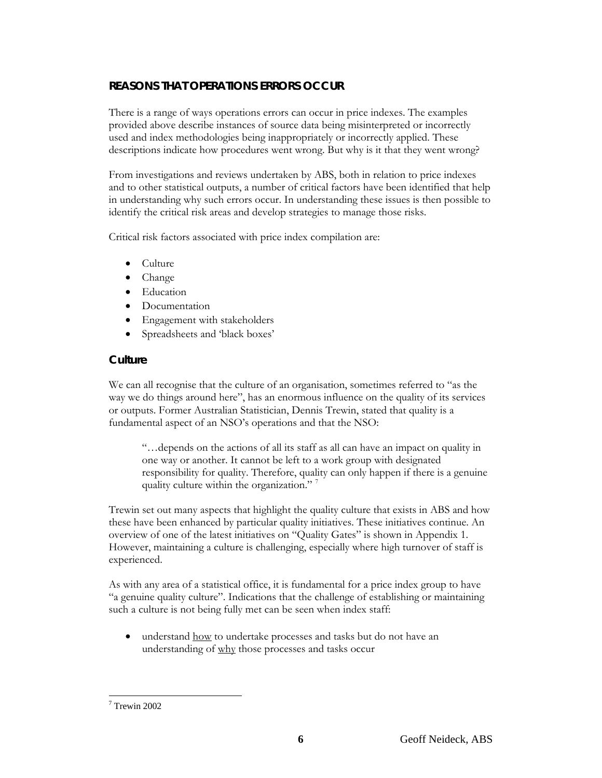# **REASONS THAT OPERATIONS ERRORS OCCUR**

There is a range of ways operations errors can occur in price indexes. The examples provided above describe instances of source data being misinterpreted or incorrectly used and index methodologies being inappropriately or incorrectly applied. These descriptions indicate how procedures went wrong. But why is it that they went wrong?

From investigations and reviews undertaken by ABS, both in relation to price indexes and to other statistical outputs, a number of critical factors have been identified that help in understanding why such errors occur. In understanding these issues is then possible to identify the critical risk areas and develop strategies to manage those risks.

Critical risk factors associated with price index compilation are:

- Culture
- Change
- Education
- Documentation
- Engagement with stakeholders
- Spreadsheets and 'black boxes'

### **Culture**

We can all recognise that the culture of an organisation, sometimes referred to "as the way we do things around here", has an enormous influence on the quality of its services or outputs. Former Australian Statistician, Dennis Trewin, stated that quality is a fundamental aspect of an NSO's operations and that the NSO:

"…depends on the actions of all its staff as all can have an impact on quality in one way or another. It cannot be left to a work group with designated responsibility for quality. Therefore, quality can only happen if there is a genuine quality culture within the organization."

Trewin set out many aspects that highlight the quality culture that exists in ABS and how these have been enhanced by particular quality initiatives. These initiatives continue. An overview of one of the latest initiatives on "Quality Gates" is shown in Appendix 1. However, maintaining a culture is challenging, especially where high turnover of staff is experienced.

As with any area of a statistical office, it is fundamental for a price index group to have "a genuine quality culture". Indications that the challenge of establishing or maintaining such a culture is not being fully met can be seen when index staff:

understand how to undertake processes and tasks but do not have an understanding of why those processes and tasks occur

l 7 Trewin 2002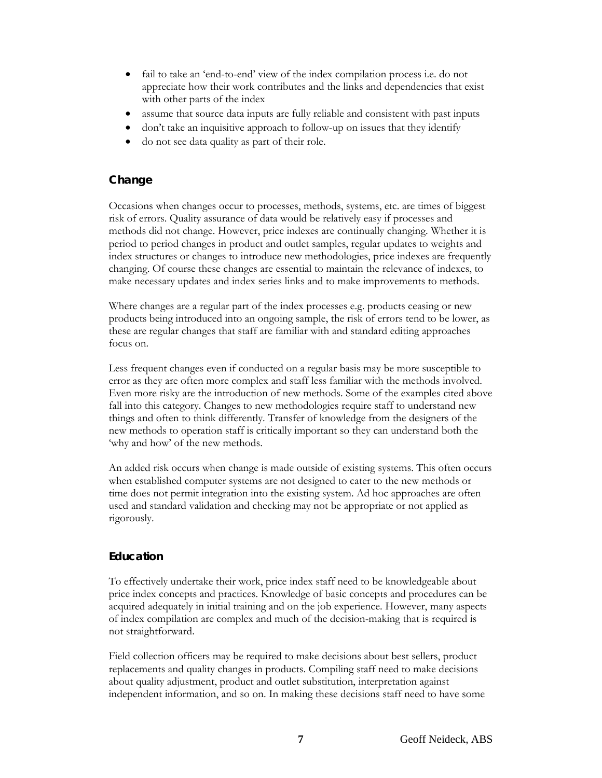- fail to take an 'end-to-end' view of the index compilation process i.e. do not appreciate how their work contributes and the links and dependencies that exist with other parts of the index
- assume that source data inputs are fully reliable and consistent with past inputs
- don't take an inquisitive approach to follow-up on issues that they identify
- do not see data quality as part of their role.

# **Change**

Occasions when changes occur to processes, methods, systems, etc. are times of biggest risk of errors. Quality assurance of data would be relatively easy if processes and methods did not change. However, price indexes are continually changing. Whether it is period to period changes in product and outlet samples, regular updates to weights and index structures or changes to introduce new methodologies, price indexes are frequently changing. Of course these changes are essential to maintain the relevance of indexes, to make necessary updates and index series links and to make improvements to methods.

Where changes are a regular part of the index processes e.g. products ceasing or new products being introduced into an ongoing sample, the risk of errors tend to be lower, as these are regular changes that staff are familiar with and standard editing approaches focus on.

Less frequent changes even if conducted on a regular basis may be more susceptible to error as they are often more complex and staff less familiar with the methods involved. Even more risky are the introduction of new methods. Some of the examples cited above fall into this category. Changes to new methodologies require staff to understand new things and often to think differently. Transfer of knowledge from the designers of the new methods to operation staff is critically important so they can understand both the 'why and how' of the new methods.

An added risk occurs when change is made outside of existing systems. This often occurs when established computer systems are not designed to cater to the new methods or time does not permit integration into the existing system. Ad hoc approaches are often used and standard validation and checking may not be appropriate or not applied as rigorously.

# **Education**

To effectively undertake their work, price index staff need to be knowledgeable about price index concepts and practices. Knowledge of basic concepts and procedures can be acquired adequately in initial training and on the job experience. However, many aspects of index compilation are complex and much of the decision-making that is required is not straightforward.

Field collection officers may be required to make decisions about best sellers, product replacements and quality changes in products. Compiling staff need to make decisions about quality adjustment, product and outlet substitution, interpretation against independent information, and so on. In making these decisions staff need to have some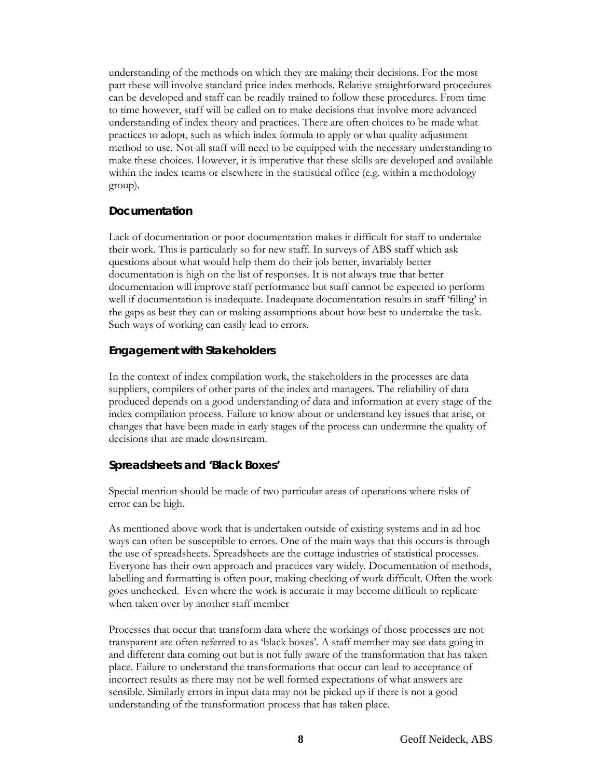understanding of the methods on which they are making their decisions. For the most part these will involve standard price index methods. Relative straightforward procedures can be developed and staff can be readily trained to follow these procedures. From time to time however, staff will be called on to make decisions that involve more advanced understanding of index theory and practices. There are often choices to be made what practices to adopt, such as which index formula to apply or what quality adjustment method to use. Not all staff will need to be equipped with the necessary understanding to make these choices. However, it is imperative that these skills are developed and available within the index teams or elsewhere in the statistical office (e.g. within a methodology group).

### **Documentation**

Lack of documentation or poor documentation makes it difficult for staff to undertake their work. This is particularly so for new staff. In surveys of ABS staff which ask questions about what would help them do their job better, invariably better documentation is high on the list of responses. It is not always true that better documentation will improve staff performance but staff cannot be expected to perform well if documentation is inadequate. Inadequate documentation results in staff 'filling' in the gaps as best they can or making assumptions about how best to undertake the task. Such ways of working can easily lead to errors.

## **Engagement with Stakeholders**

In the context of index compilation work, the stakeholders in the processes are data suppliers, compilers of other parts of the index and managers. The reliability of data produced depends on a good understanding of data and information at every stage of the index compilation process. Failure to know about or understand key issues that arise, or changes that have been made in early stages of the process can undermine the quality of decisions that are made downstream.

## **Spreadsheets and 'Black Boxes'**

Special mention should be made of two particular areas of operations where risks of error can be high.

As mentioned above work that is undertaken outside of existing systems and in ad hoc ways can often be susceptible to errors. One of the main ways that this occurs is through the use of spreadsheets. Spreadsheets are the cottage industries of statistical processes. Everyone has their own approach and practices vary widely. Documentation of methods, labelling and formatting is often poor, making checking of work difficult. Often the work goes unchecked. Even where the work is accurate it may become difficult to replicate when taken over by another staff member

Processes that occur that transform data where the workings of those processes are not transparent are often referred to as 'black boxes'. A staff member may see data going in and different data coming out but is not fully aware of the transformation that has taken place. Failure to understand the transformations that occur can lead to acceptance of incorrect results as there may not be well formed expectations of what answers are sensible. Similarly errors in input data may not be picked up if there is not a good understanding of the transformation process that has taken place.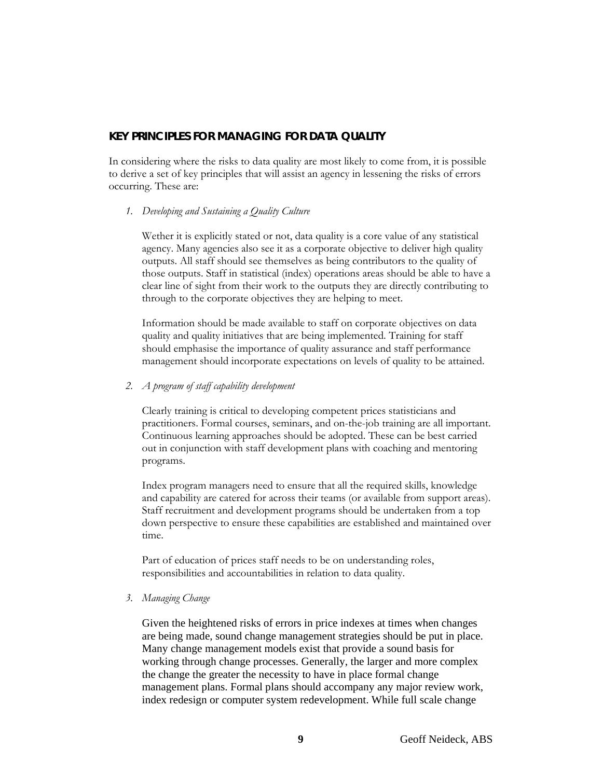### **KEY PRINCIPLES FOR MANAGING FOR DATA QUALITY**

In considering where the risks to data quality are most likely to come from, it is possible to derive a set of key principles that will assist an agency in lessening the risks of errors occurring. These are:

#### *1. Developing and Sustaining a Quality Culture*

Wether it is explicitly stated or not, data quality is a core value of any statistical agency. Many agencies also see it as a corporate objective to deliver high quality outputs. All staff should see themselves as being contributors to the quality of those outputs. Staff in statistical (index) operations areas should be able to have a clear line of sight from their work to the outputs they are directly contributing to through to the corporate objectives they are helping to meet.

Information should be made available to staff on corporate objectives on data quality and quality initiatives that are being implemented. Training for staff should emphasise the importance of quality assurance and staff performance management should incorporate expectations on levels of quality to be attained.

#### *2. A program of staff capability development*

Clearly training is critical to developing competent prices statisticians and practitioners. Formal courses, seminars, and on-the-job training are all important. Continuous learning approaches should be adopted. These can be best carried out in conjunction with staff development plans with coaching and mentoring programs.

Index program managers need to ensure that all the required skills, knowledge and capability are catered for across their teams (or available from support areas). Staff recruitment and development programs should be undertaken from a top down perspective to ensure these capabilities are established and maintained over time.

Part of education of prices staff needs to be on understanding roles, responsibilities and accountabilities in relation to data quality.

#### *3. Managing Change*

Given the heightened risks of errors in price indexes at times when changes are being made, sound change management strategies should be put in place. Many change management models exist that provide a sound basis for working through change processes. Generally, the larger and more complex the change the greater the necessity to have in place formal change management plans. Formal plans should accompany any major review work, index redesign or computer system redevelopment. While full scale change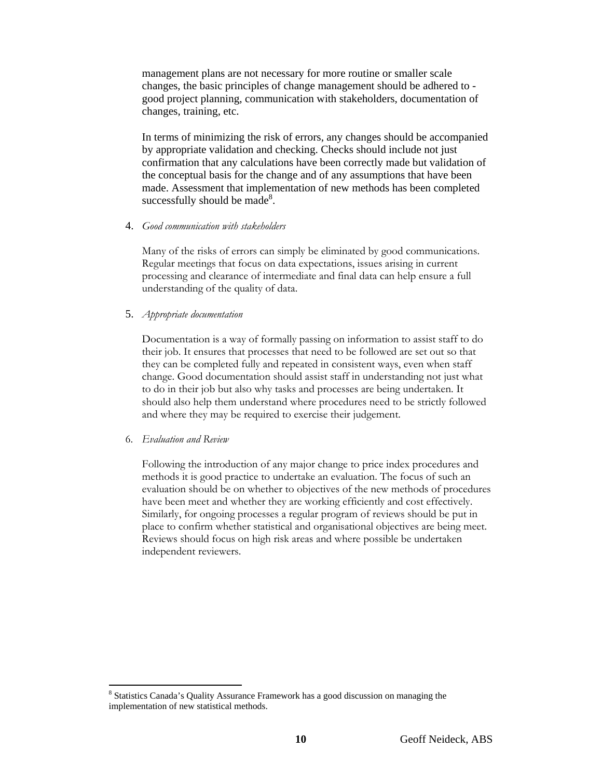management plans are not necessary for more routine or smaller scale changes, the basic principles of change management should be adhered to good project planning, communication with stakeholders, documentation of changes, training, etc.

In terms of minimizing the risk of errors, any changes should be accompanied by appropriate validation and checking. Checks should include not just confirmation that any calculations have been correctly made but validation of the conceptual basis for the change and of any assumptions that have been made. Assessment that implementation of new methods has been completed successfully should be made<sup>8</sup>.

4. *Good communication with stakeholders* 

Many of the risks of errors can simply be eliminated by good communications. Regular meetings that focus on data expectations, issues arising in current processing and clearance of intermediate and final data can help ensure a full understanding of the quality of data.

5. *Appropriate documentation* 

Documentation is a way of formally passing on information to assist staff to do their job. It ensures that processes that need to be followed are set out so that they can be completed fully and repeated in consistent ways, even when staff change. Good documentation should assist staff in understanding not just what to do in their job but also why tasks and processes are being undertaken. It should also help them understand where procedures need to be strictly followed and where they may be required to exercise their judgement.

6. *Evaluation and Review* 

Following the introduction of any major change to price index procedures and methods it is good practice to undertake an evaluation. The focus of such an evaluation should be on whether to objectives of the new methods of procedures have been meet and whether they are working efficiently and cost effectively. Similarly, for ongoing processes a regular program of reviews should be put in place to confirm whether statistical and organisational objectives are being meet. Reviews should focus on high risk areas and where possible be undertaken independent reviewers.

l <sup>8</sup> Statistics Canada's Quality Assurance Framework has a good discussion on managing the implementation of new statistical methods.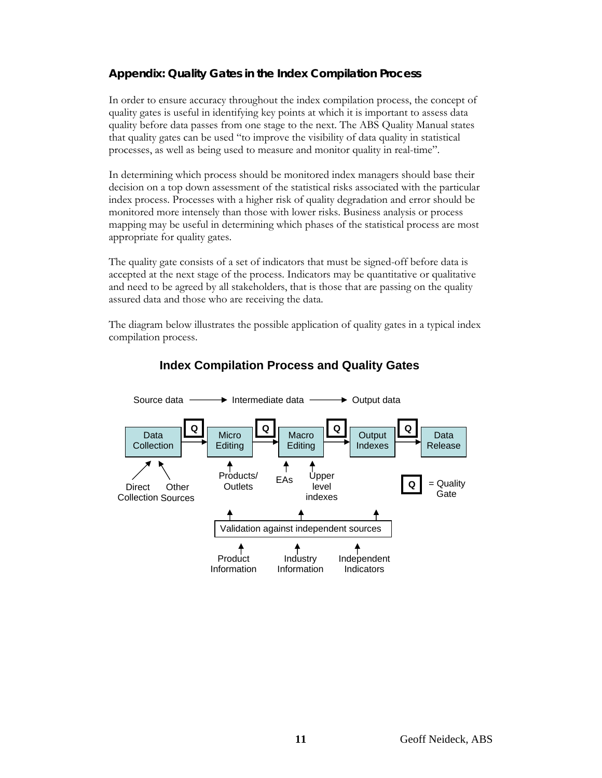# **Appendix: Quality Gates in the Index Compilation Process**

In order to ensure accuracy throughout the index compilation process, the concept of quality gates is useful in identifying key points at which it is important to assess data quality before data passes from one stage to the next. The ABS Quality Manual states that quality gates can be used "to improve the visibility of data quality in statistical processes, as well as being used to measure and monitor quality in real-time".

In determining which process should be monitored index managers should base their decision on a top down assessment of the statistical risks associated with the particular index process. Processes with a higher risk of quality degradation and error should be monitored more intensely than those with lower risks. Business analysis or process mapping may be useful in determining which phases of the statistical process are most appropriate for quality gates.

The quality gate consists of a set of indicators that must be signed-off before data is accepted at the next stage of the process. Indicators may be quantitative or qualitative and need to be agreed by all stakeholders, that is those that are passing on the quality assured data and those who are receiving the data.

The diagram below illustrates the possible application of quality gates in a typical index compilation process.



## **Index Compilation Process and Quality Gates**